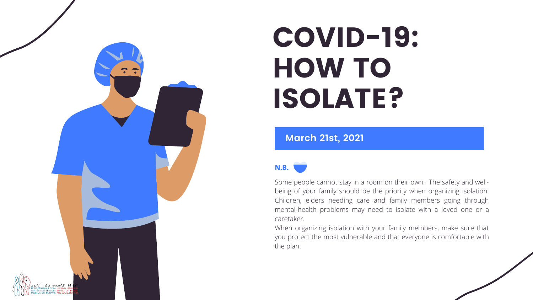#### **March 21st, 2021**



# COVID-19: HOW TO ISOLATE?

Some people cannot stay in a room on their own. The safety and wellbeing of your family should be the priority when organizing isolation. Children, elders needing care and family members going through mental-health problems may need to isolate with a loved one or a caretaker.

When organizing isolation with your family members, make sure that you protect the most vulnerable and that everyone is comfortable with

the plan.

**N.B.**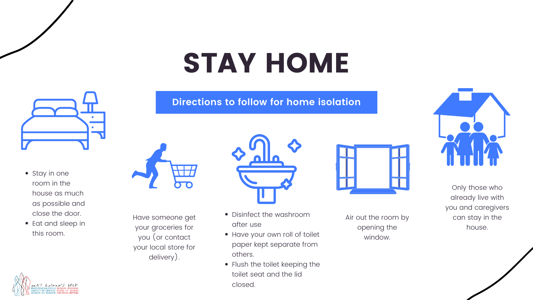#### **Directions to follow for home isolation**



Only those who already live with you and caregivers can stay in the house.

Air out the room by opening the window.



- Disinfect the washroom after use
- Have your own roll of toilet paper kept separate from others.
- Flush the toilet keeping the toilet seat and the lid closed.





- Stay in one room in the house as much as possible and close the door.
- Eat and sleep in this room.



Have someone get your groceries for you (or contact your local store for delivery).



# STAY HOME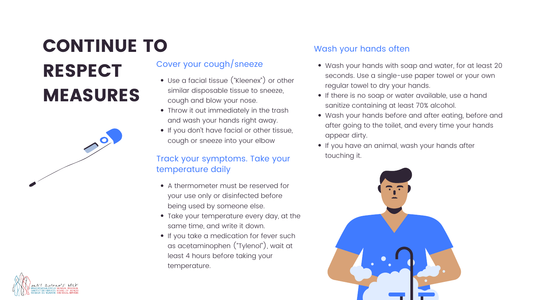#### Cover your cough/sneeze

- Use a facial tissue ("Kleenex") or other similar disposable tissue to sneeze, cough and blow your nose.
- Throw it out immediately in the trash and wash your hands right away.
- If you don't have facial or other tissue, cough or sneeze into your elbow

### Wash your hands often

- Wash your hands with soap and water, for at least 20 seconds. Use a single-use paper towel or your own regular towel to dry your hands.
	-
- If there is no soap or water available, use a hand sanitize containing at least 70% alcohol.
- Wash your hands before and after eating, before and after going to the toilet, and every time your hands appear dirty.
- If you have an animal, wash your hands after touching it.





# CONTINUE TO MEASURES



# RESPECT

#### Track your symptoms. Take your temperature daily

- A thermometer must be reserved for your use only or disinfected before being used by someone else.
- Take your temperature every day, at the same time, and write it down.
- **.** If you take a medication for fever such as acetaminophen ("Tylenol"), wait at least 4 hours before taking your temperature.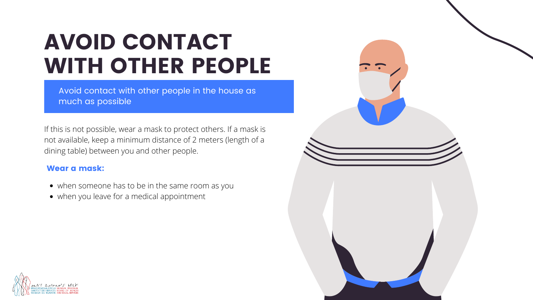Avoid contact with other people in the house as much as possible

## AVOID CONTACT WITH OTHER PEOPLE

If this is not possible, wear a mask to protect others. If a mask is not available, keep a minimum distance of 2 meters (length of a dining table) between you and other people.

#### Wear a mask:

- when someone has to be in the same room as you
- when you leave for a medical appointment



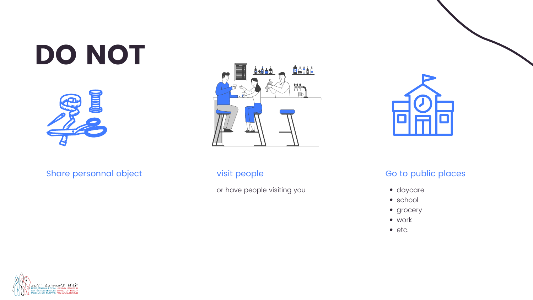



#### Go to public places

- · daycare
- school
- grocery
- work
- etc.

visit people

or have people visiting you





Share personnal object

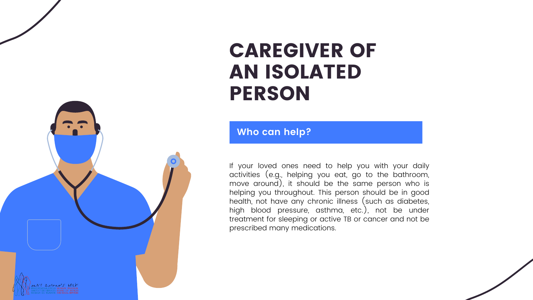**Who can help?**

A'T Aprenois bol

## CAREGIVER OF AN ISOLATED PERSON

If your loved ones need to help you with your daily activities (e.g., helping you eat, go to the bathroom, move around), it should be the same person who is helping you throughout. This person should be in good health, not have any chronic illness (such as diabetes, high blood pressure, asthma, etc.), not be under treatment for sleeping or active TB or cancer and not be prescribed many medications.

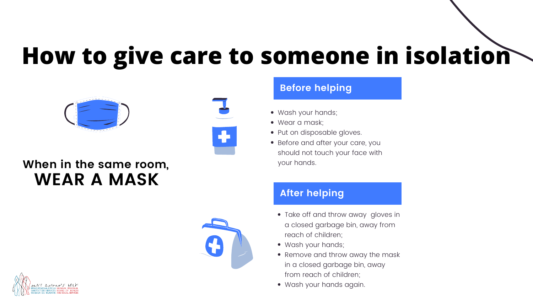#### **Before helping**

### **After helping**

- Wash your hands;
- Wear a mask;
- Put on disposable gloves.
- Before and after your care, you should not touch your face with your hands.

a closed garbage bin, away from

• Remove and throw away the mask

- reach of children;
- Wash your hands;
- in a closed garbage bin, away from reach of children;
- Wash your hands again.



• Take off and throw away gloves in

# **How to give care to someone in isolation**



### **When in the same room, WEAR A MASK**

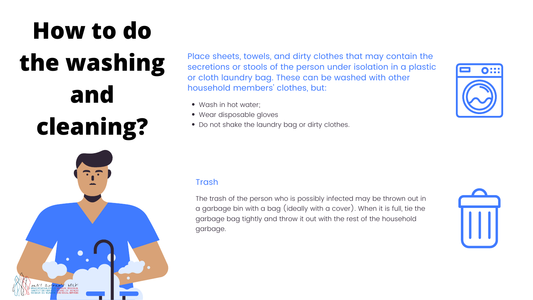Place sheets, towels, and dirty clothes that may contain the secretions or stools of the person under isolation in a plastic or cloth laundry bag. These can be washed with other household members 'clothes, but:

- Wash in hot water;
- Wear disposable gloves
- Do not shake the laundry bag or dirty clothes.

#### Trash

The trash of the person who is possibly infected may be thrown out in a garbage bin with a bag (ideally with a cover). When it is full, tie the garbage bag tightly and throw it out with the rest of the household garbage.





# **How to do the washing and cleaning?**

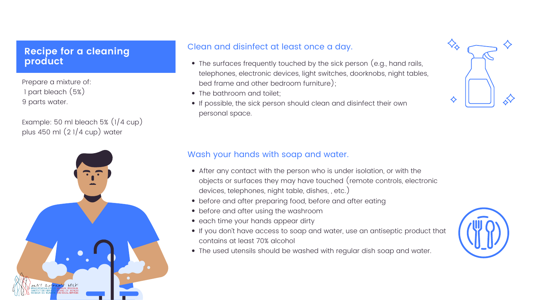#### Clean and disinfect at least once a day.

- The surfaces frequently touched by the sick person (e.g., hand rails, telephones, electronic devices, light switches, doorknobs, night tables, bed frame and other bedroom furniture);
- The bathroom and toilet;
- If possible, the sick person should clean and disinfect their own personal space.

#### Wash your hands with soap and water.

- After any contact with the person who is under isolation, or with the objects or surfaces they may have touched (remote controls, electronic devices, telephones, night table, dishes, , etc.)
- before and after preparing food, before and after eating
- before and after using the washroom
- each time your hands appear dirty
- If you don't have access to soap and water, use an antiseptic product that contains at least 70% alcohol
- The used utensils should be washed with regular dish soap and water.





### **cleaning Recipe for a cleaning production product**

Prepare a mixture of: 1 part bleach (5%) 9 parts water.

Example: 50 ml bleach 5% (1/4 cup) plus 450 ml (2 1/4 cup) water

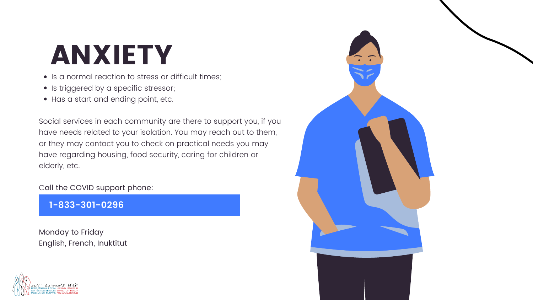**1-833-301-0296**

- Is a normal reaction to stress or difficult times;
- Is triggered by a specific stressor;
- Has a start and ending point, etc.

Social services in each community are there to support you, if you have needs related to your isolation. You may reach out to them, or they may contact you to check on practical needs you may have regarding housing, food security, caring for children or elderly, etc.

Call the COVID support phone:

Monday to Friday English, French, Inuktitut





## ANXIETY